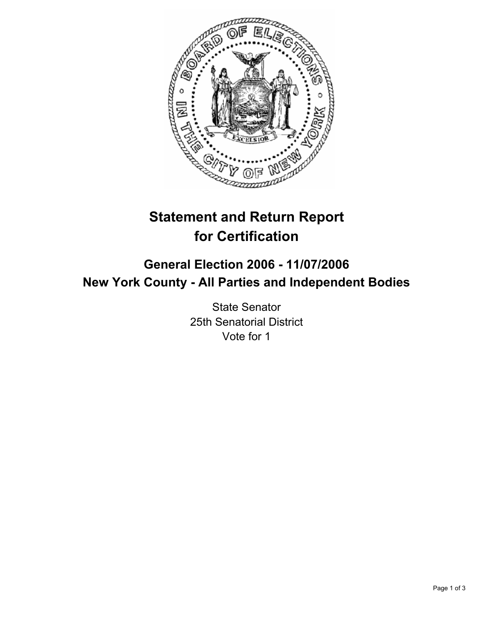

# **Statement and Return Report for Certification**

# **General Election 2006 - 11/07/2006 New York County - All Parties and Independent Bodies**

State Senator 25th Senatorial District Vote for 1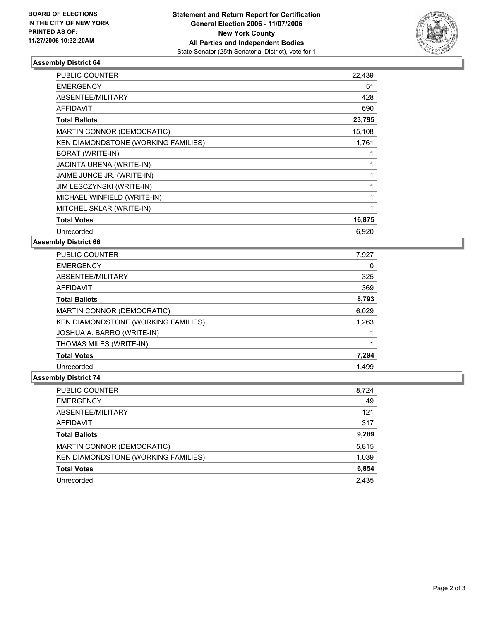

### **Assembly District 64**

| PUBLIC COUNTER                      | 22,439 |
|-------------------------------------|--------|
| <b>EMERGENCY</b>                    | 51     |
| ABSENTEE/MILITARY                   | 428    |
| <b>AFFIDAVIT</b>                    | 690    |
| <b>Total Ballots</b>                | 23,795 |
| MARTIN CONNOR (DEMOCRATIC)          | 15,108 |
| KEN DIAMONDSTONE (WORKING FAMILIES) | 1,761  |
| BORAT (WRITE-IN)                    |        |
| JACINTA URENA (WRITE-IN)            |        |
| JAIME JUNCE JR. (WRITE-IN)          |        |
| JIM LESCZYNSKI (WRITE-IN)           |        |
| MICHAEL WINFIELD (WRITE-IN)         |        |
| MITCHEL SKLAR (WRITE-IN)            |        |
| <b>Total Votes</b>                  | 16,875 |
| Unrecorded                          | 6,920  |

#### **Assembly District 66**

| <b>PUBLIC COUNTER</b>               | 7,927 |
|-------------------------------------|-------|
| <b>EMERGENCY</b>                    | 0     |
| ABSENTEE/MILITARY                   | 325   |
| AFFIDAVIT                           | 369   |
| <b>Total Ballots</b>                | 8,793 |
| MARTIN CONNOR (DEMOCRATIC)          | 6,029 |
| KEN DIAMONDSTONE (WORKING FAMILIES) | 1,263 |
| JOSHUA A. BARRO (WRITE-IN)          |       |
| THOMAS MILES (WRITE-IN)             |       |
| <b>Total Votes</b>                  | 7,294 |
| Unrecorded                          | 1,499 |

## **Assembly District 74**

| <b>PUBLIC COUNTER</b>               | 8,724 |
|-------------------------------------|-------|
| <b>EMERGENCY</b>                    | 49    |
| ABSENTEE/MILITARY                   | 121   |
| AFFIDAVIT                           | 317   |
| <b>Total Ballots</b>                | 9,289 |
| MARTIN CONNOR (DEMOCRATIC)          | 5,815 |
| KEN DIAMONDSTONE (WORKING FAMILIES) | 1,039 |
| <b>Total Votes</b>                  | 6,854 |
| Unrecorded                          | 2,435 |
|                                     |       |